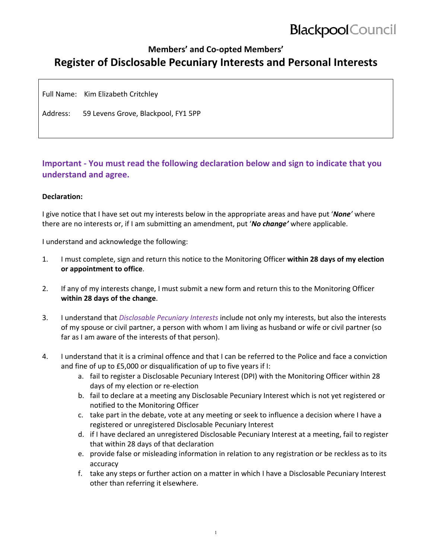# **Blackpool** Council

### **Members' and Co‐opted Members' Register of Disclosable Pecuniary Interests and Personal Interests**

Full Name: Kim Elizabeth Critchley

Address: 59 Levens Grove, Blackpool, FY1 5PP

### **Important ‐ You must read the following declaration below and sign to indicate that you understand and agree.**

#### **Declaration:**

I give notice that I have set out my interests below in the appropriate areas and have put '*None'* where there are no interests or, if I am submitting an amendment, put '*No change'* where applicable.

I understand and acknowledge the following:

- 1. I must complete, sign and return this notice to the Monitoring Officer **within 28 days of my election or appointment to office**.
- 2. If any of my interests change, I must submit a new form and return this to the Monitoring Officer **within 28 days of the change**.
- 3. I understand that *Disclosable Pecuniary Interests* include not only my interests, but also the interests of my spouse or civil partner, a person with whom I am living as husband or wife or civil partner (so far as I am aware of the interests of that person).
- 4. I understand that it is a criminal offence and that I can be referred to the Police and face a conviction and fine of up to £5,000 or disqualification of up to five years if I:
	- a. fail to register a Disclosable Pecuniary Interest (DPI) with the Monitoring Officer within 28 days of my election or re‐election
	- b. fail to declare at a meeting any Disclosable Pecuniary Interest which is not yet registered or notified to the Monitoring Officer
	- c. take part in the debate, vote at any meeting or seek to influence a decision where I have a registered or unregistered Disclosable Pecuniary Interest
	- d. if I have declared an unregistered Disclosable Pecuniary Interest at a meeting, fail to register that within 28 days of that declaration
	- e. provide false or misleading information in relation to any registration or be reckless as to its accuracy
	- f. take any steps or further action on a matter in which I have a Disclosable Pecuniary Interest other than referring it elsewhere.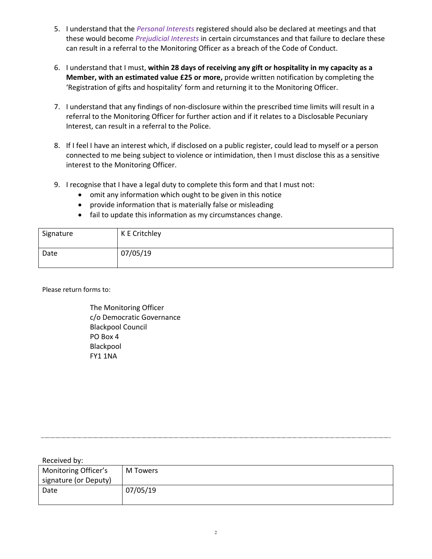- 5. I understand that the *Personal Interests* registered should also be declared at meetings and that these would become *Prejudicial Interests* in certain circumstances and that failure to declare these can result in a referral to the Monitoring Officer as a breach of the Code of Conduct.
- 6. I understand that I must, **within 28 days of receiving any gift or hospitality in my capacity as a Member, with an estimated value £25 or more,** provide written notification by completing the 'Registration of gifts and hospitality' form and returning it to the Monitoring Officer.
- 7. I understand that any findings of non-disclosure within the prescribed time limits will result in a referral to the Monitoring Officer for further action and if it relates to a Disclosable Pecuniary Interest, can result in a referral to the Police.
- 8. If I feel I have an interest which, if disclosed on a public register, could lead to myself or a person connected to me being subject to violence or intimidation, then I must disclose this as a sensitive interest to the Monitoring Officer.
- 9. I recognise that I have a legal duty to complete this form and that I must not:
	- omit any information which ought to be given in this notice
	- provide information that is materially false or misleading
	- fail to update this information as my circumstances change.

| Signature | K E Critchley |
|-----------|---------------|
| Date      | 07/05/19      |

Please return forms to:

The Monitoring Officer c/o Democratic Governance Blackpool Council PO Box 4 Blackpool FY1 1NA

| Received by:          |          |
|-----------------------|----------|
| Monitoring Officer's  | M Towers |
| signature (or Deputy) |          |
| Date                  | 07/05/19 |
|                       |          |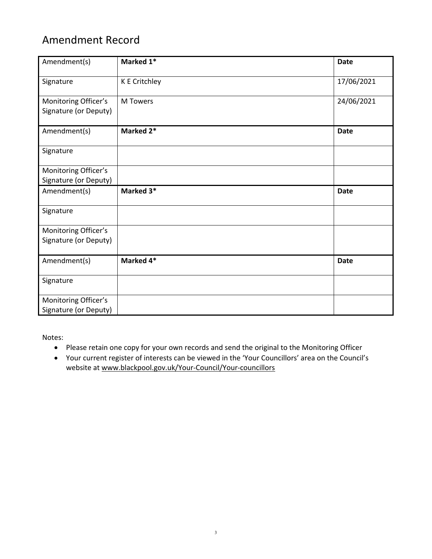## Amendment Record

| Amendment(s)                                  | Marked 1*       | <b>Date</b> |
|-----------------------------------------------|-----------------|-------------|
| Signature                                     | K E Critchley   | 17/06/2021  |
| Monitoring Officer's<br>Signature (or Deputy) | <b>M</b> Towers | 24/06/2021  |
| Amendment(s)                                  | Marked 2*       | <b>Date</b> |
| Signature                                     |                 |             |
| Monitoring Officer's<br>Signature (or Deputy) |                 |             |
| Amendment(s)                                  | Marked 3*       | <b>Date</b> |
| Signature                                     |                 |             |
| Monitoring Officer's<br>Signature (or Deputy) |                 |             |
| Amendment(s)                                  | Marked 4*       | <b>Date</b> |
| Signature                                     |                 |             |
| Monitoring Officer's<br>Signature (or Deputy) |                 |             |

Notes:

- Please retain one copy for your own records and send the original to the Monitoring Officer
- Your current register of interests can be viewed in the 'Your Councillors' area on the Council's website at www.blackpool.gov.uk/Your-Council/Your-councillors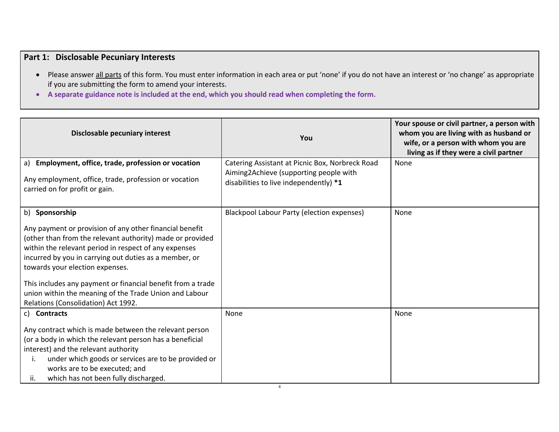### **Part 1: Disclosable Pecuniary Interests**

- Please answer all parts of this form. You must enter information in each area or put 'none' if you do not have an interest or 'no change' as appropriate if you are submitting the form to amend your interests.
- **A separate guidance note is included at the end, which you should read when completing the form.**

| Disclosable pecuniary interest                                                                                                                                                                                                                                                                                                                                                                                                                               | You                                                                                                                                 | Your spouse or civil partner, a person with<br>whom you are living with as husband or<br>wife, or a person with whom you are<br>living as if they were a civil partner |
|--------------------------------------------------------------------------------------------------------------------------------------------------------------------------------------------------------------------------------------------------------------------------------------------------------------------------------------------------------------------------------------------------------------------------------------------------------------|-------------------------------------------------------------------------------------------------------------------------------------|------------------------------------------------------------------------------------------------------------------------------------------------------------------------|
| a) Employment, office, trade, profession or vocation<br>Any employment, office, trade, profession or vocation<br>carried on for profit or gain.                                                                                                                                                                                                                                                                                                              | Catering Assistant at Picnic Box, Norbreck Road<br>Aiming2Achieve (supporting people with<br>disabilities to live independently) *1 | None                                                                                                                                                                   |
| b) Sponsorship<br>Any payment or provision of any other financial benefit<br>(other than from the relevant authority) made or provided<br>within the relevant period in respect of any expenses<br>incurred by you in carrying out duties as a member, or<br>towards your election expenses.<br>This includes any payment or financial benefit from a trade<br>union within the meaning of the Trade Union and Labour<br>Relations (Consolidation) Act 1992. | Blackpool Labour Party (election expenses)                                                                                          | None                                                                                                                                                                   |
| c) Contracts<br>Any contract which is made between the relevant person<br>(or a body in which the relevant person has a beneficial<br>interest) and the relevant authority<br>under which goods or services are to be provided or<br>Ι.<br>works are to be executed; and<br>which has not been fully discharged.<br>ii.                                                                                                                                      | None                                                                                                                                | None                                                                                                                                                                   |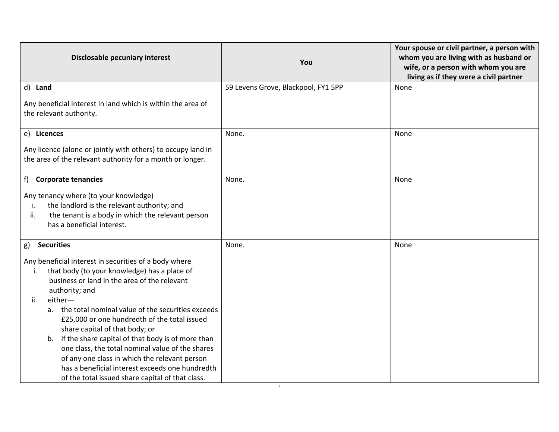| Disclosable pecuniary interest                                                                                                                                                                                                                                                                                                                                                                                                                                                                                                                                                                                | You                                 | Your spouse or civil partner, a person with<br>whom you are living with as husband or<br>wife, or a person with whom you are<br>living as if they were a civil partner |
|---------------------------------------------------------------------------------------------------------------------------------------------------------------------------------------------------------------------------------------------------------------------------------------------------------------------------------------------------------------------------------------------------------------------------------------------------------------------------------------------------------------------------------------------------------------------------------------------------------------|-------------------------------------|------------------------------------------------------------------------------------------------------------------------------------------------------------------------|
| d) Land                                                                                                                                                                                                                                                                                                                                                                                                                                                                                                                                                                                                       | 59 Levens Grove, Blackpool, FY1 5PP | None                                                                                                                                                                   |
| Any beneficial interest in land which is within the area of<br>the relevant authority.                                                                                                                                                                                                                                                                                                                                                                                                                                                                                                                        |                                     |                                                                                                                                                                        |
| e) Licences                                                                                                                                                                                                                                                                                                                                                                                                                                                                                                                                                                                                   | None.                               | None                                                                                                                                                                   |
| Any licence (alone or jointly with others) to occupy land in<br>the area of the relevant authority for a month or longer.                                                                                                                                                                                                                                                                                                                                                                                                                                                                                     |                                     |                                                                                                                                                                        |
| f<br><b>Corporate tenancies</b>                                                                                                                                                                                                                                                                                                                                                                                                                                                                                                                                                                               | None.                               | None                                                                                                                                                                   |
| Any tenancy where (to your knowledge)<br>the landlord is the relevant authority; and<br>Ť.<br>the tenant is a body in which the relevant person<br>ii.<br>has a beneficial interest.                                                                                                                                                                                                                                                                                                                                                                                                                          |                                     |                                                                                                                                                                        |
| <b>Securities</b><br>g)                                                                                                                                                                                                                                                                                                                                                                                                                                                                                                                                                                                       | None.                               | None                                                                                                                                                                   |
| Any beneficial interest in securities of a body where<br>that body (to your knowledge) has a place of<br>i.<br>business or land in the area of the relevant<br>authority; and<br>either-<br>ii.<br>a. the total nominal value of the securities exceeds<br>£25,000 or one hundredth of the total issued<br>share capital of that body; or<br>b. if the share capital of that body is of more than<br>one class, the total nominal value of the shares<br>of any one class in which the relevant person<br>has a beneficial interest exceeds one hundredth<br>of the total issued share capital of that class. |                                     |                                                                                                                                                                        |